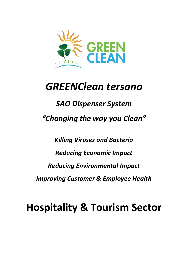

# **GREENClean tersano**

# **SAO Dispenser System** "Changing the way you Clean"

**Killing Viruses and Bacteria Reducing Economic Impact Reducing Environmental Impact Improving Customer & Employee Health** 

**Hospitality & Tourism Sector**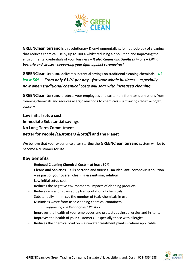

**GREENClean tersano** is a revolutionary & environmentally safe methodology of cleaning that reduces chemical use by up to 100% whilst reducing air pollution and improving the environmental credentials of your business – *It also Cleans and Sanitises in one – killing bacteria and viruses - supporting your fight against coronavirus!*

**GREENClean tersano** delivers substantial savings on traditional cleaning chemicals *– at least 50%. From only €3.01 per day - for your whole business – especially now when traditional chemical costs will soar with increased cleaning.*

**GREENClean tersano** protects your employees and customers from toxic emissions from cleaning chemicals and reduces allergic reactions to chemicals *– a growing Health & Safety concern.* 

**Low initial setup cost Immediate Substantial savings No Long-Term Commitment Better for People** *(Customers & Staff)* **and the Planet**

We believe that your experience after starting the **GREENClean tersano** system will be to become a customer for life.

### **Key benefits**

- **Reduced Cleaning Chemical Costs – at least 50%**
- **Cleans and Sanitises – Kills bacteria and viruses - an ideal anti-coronavirus solution – as part of your overall cleaning & sanitising solution**
- Low initial setup cost
- Reduces the negative environmental impacts of cleaning products
- Reduces emissions caused by transportation of chemicals
- Substantially minimises the number of toxic chemicals in use
- Minimises waste from used cleaning chemical containers
	- o *Supporting the War against Plastics*
- Improves the health of your employees and protects against allergies and irritants
- Improves the health of your customers especially those with allergies
- Reduces the chemical load on wastewater treatment plants where applicable

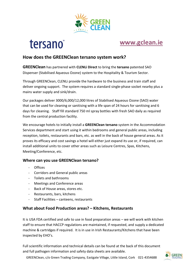

# tersano<sup>®</sup>

# **[www.gclean.ie](http://www.gclean.ie/)**

# **How does the GREENClean tersano system work?**

**GREENClean** has partnered with **CLENLi Direct** to bring the **tersano** patented SAO Dispenser (Stabilised Aqueous Ozone) system to the Hospitality & Tourism Sector.

Through GREENClean, CLENLi provide the hardware to the business and train staff and deliver ongoing support. The system requires a standard single-phase socket nearby plus a mains water supply and sink/drain.

Our packages deliver 3000/6,000/12,000 litres of Stabilised Aqueous Ozone (SAO) water that can be used for cleaning or sanitising with a life span of 24 hours for sanitising and 6 days for cleaning. Staff fill standard 750 ml spray bottles with fresh SAO daily as required from the central production facility.

We encourage hotels to initially install a **GREENClean tersano** system in the Accommodation Services department and start using it within bedrooms and general public areas, including reception, toilets, restaurants and bars, etc. as well in the back of house general areas. As it proves its efficacy and cost savings a hotel will either just expand its use or, if required, can install additional units to cover other areas such as Leisure Centres, Spas, Kitchens, Meeting/Conference, etc.

#### **Where can you use GREENClean tersano?**

- **Offices**
- Corridors and General public areas
- Toilets and bathrooms
- Meetings and Conference areas
- Back of House areas, stores etc.
- Restaurants, bars, kitchens
- Staff Facilities canteens, restaurants

#### **What about Food Production areas? – Kitchens, Restaurants**

It is USA FDA certified and safe to use in food preparation areas – we will work with kitchen staff to ensure that HACCP regulations are maintained, if requested, and supply a dedicated machine & cartridges if required. It is in use in Irish Restaurants/Kitchens that have been inspected by EHO's.

Full scientific information and technical details can be found at the back of this document and full pathogen information and safety data sheets are available.



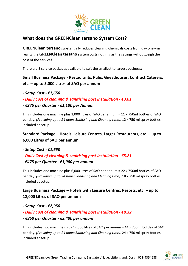

# **What does the GREENClean tersano System Cost?**

**GREENClean tersano** substantially reduces cleaning chemicals costs from day one – in reality the **GREENClean tersano** system costs nothing as the savings will outweigh the cost of the service!

There are 3 service packages available to suit the smallest to largest business;

# **Small Business Package - Restaurants, Pubs, Guesthouses, Contract Caterers, etc. – up to 3,000 Litres of SAO per annum**

- *- Setup Cost - €1,650*
- *- Daily Cost of cleaning & sanitising post installation - €3.01*
- *- €275 per Quarter - €1,100 per Annum*

This includes one machine plus 3,000 litres of SAO per annum = 11 x 750ml bottles of SAO per day. *(Providing up to 24 hours Sanitising and Cleaning time)*. 12 x 750 ml spray bottles included at setup.

# **Standard Package – Hotels, Leisure Centres, Larger Restaurants, etc. – up to 6,000 Litres of SAO per annum**

- *- Setup Cost - €1,650*
- *- Daily Cost of cleaning & sanitising post installation - €5.21*
- *- €475 per Quarter - €1,900 per annum*

This includes one machine plus 6,000 litres of SAO per annum = 22 x 750ml bottles of SAO per day. *(Providing up to 24 hours Sanitising and Cleaning time)*. 18 x 750 ml spray bottles included at setup.

# **Large Business Package – Hotels with Leisure Centres, Resorts, etc. – up to 12,000 Litres of SAO per annum**

- *- Setup Cost - €2,950*
- *- Daily Cost of cleaning & sanitising post installation - €9.32*
- *- €850 per Quarter - €3,400 per annum*

This includes two machines plus 12,000 litres of SAO per annum = 44 x 750ml bottles of SAO per day. *(Providing up to 24 hours Sanitising and Cleaning time)*. 24 x 750 ml spray bottles included at setup.

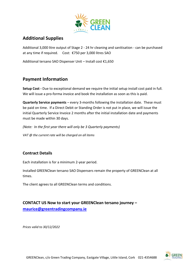

# **Additional Supplies**

Additional 3,000 litre output of Stage 2 - 24 hr cleaning and sanitisation - can be purchased at any time if required. Cost: €750 per 3,000 litres SAO

Additional tersano SAO Dispenser Unit – Install cost €1,650

## **Payment Information**

**Setup Cost -** Due to exceptional demand we require the initial setup install cost paid in full. We will issue a pro-forma invoice and book the installation as soon as this is paid.

**Quarterly Service payments** – every 3-months following the installation date. These must be paid on time. If a Direct Debit or Standing Order is not put in place, we will issue the initial Quarterly Service Invoice 2 months after the initial installation date and payments must be made within 30 days.

*(Note: In the first year there will only be 3 Quarterly payments)*

*VAT @ the current rate will be charged on all items*

### **Contract Details**

Each installation is for a minimum 2-year period.

Installed GREENClean tersano SAO Dispensers remain the property of GREENClean at all times.

The client agrees to all GREENClean terms and conditions.

# **CONTACT US Now to start your GREENClean tersano journey –**

**[maurice@greentradingcompany.ie](mailto:maurice@greentradingcompany.ie)**

*Prices valid to 30/12/2022*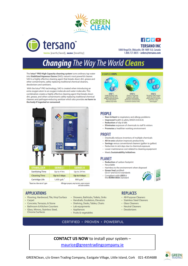



**TERSANO INC** 5000 Regal Dr, Oldcastle, ON NOR 1L0, Canada 1.800.727.8835 · orders@tersano.com

 $f$  $V$  $V$ 

# **Changing The Way The World Cleans**

The lotus<sup>®</sup> PRO High Capacity cleaning system turns ordinary tap water into Stabilized Aqueous Ozone (SAO), nature's most powerful cleaner. SAO is a highly effective cleaning agent that breaks down dirt, grease and other contaminants, safely replacing traditional chemical cleaners, deodorizers and sanitizers.

With the lotus\* PRO technology, SAO is created when introducing an extra oxygen atom to an oxygen molecule and water molecules. This combination creates a highly effective cleaning agent that breaks down dirt, grease, and other contaminants safely replacing traditional chemical cleaners and pathogen-reducing sanitizer which also provides no harm to the body if ingested or consumed.



#### **APPLICATIONS**

- · Flooring, Hardwood, Tile, Vinyl Surface
- Carpet
- · Concrete. Terrazzo. & Stone
- · Bathroom & Kitchen Counters
- · Glass, Mirrors, Stainless Steel, Chrome Surfaces
- · Showers, Bathtubs, Toilets, Sinks
- Handrails, Escalators, Elevators
- · Shelving, Desks, Tables, Chairs
- Appliances
- · Fruits & vegetables

#### **3 SIMPLES STEPS**



#### **PFOPIF**

- Non-Irritant to respiratory and allergy problems
- · Improved health & safety (MSDS 0-0-0-A)
- · Reduction of slip & falls
- Eliminates exposure of chemicals to staff & visitors
- Promotes a healthier working environment

#### **PROFIT**

- Drastically reduces inventory of multiple chemicals
- All-in-one solution improves productivity
- Savings versus conventional cleaners (gallon to gallon)
- Reduction in sick days due to chemical exposure
- Lower maintenance cost related to cleaning equipment
- Meets Sustainability Initiatives

#### **PLANET**

- **Reduction of carbon footprint**
- · Recyclable
- · Harmless to the environment when disposed
- **Green Seal certified:** GS-37 and GS-53 standards
- Compliant with LEED &<br>the BOMA BESt standard
- 



#### **REPLACES**

- All-Purpose Cleaners
- · Stainless Steel Cleaners
- · Glass Cleaners
- Neutral Cleaners
- · Deodorizers

CERTIFIED · PROVEN · POWERFUL

**CONTACT US NOW to install your system -**

maurice@greentradingcompany.ie

- Lab equipments
	-
	-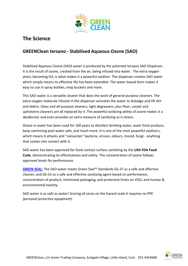

# **The Science**

# **GREENClean tersano - Stabilised Aqueous Ozone (SAO)**

Stabilised Aqueous Ozone (SAO) water is produced by the patented tersano SAO Dispenser. It is the result of ozone, created from the air, being infused into water. The extra oxygen atom, becoming O3, is what makes it a powerful oxidizer. The dispenser creates SAO water which simply means its effective life has been extended. The water-based form makes it easy to use in spray bottles, mop buckets and more.

This SAO water is a versatile cleaner that does the work of general-purpose cleaners. The extra oxygen molecule infused in the dispenser activates the water to dislodge and lift dirt and debris. Glass and all-purpose cleaners, light degreasers, plus floor, carpet and upholstery cleaners are all replaced by it. The powerful oxidizing ability of ozone makes it a deodorizer and even provides an extra measure of sanitizing as it cleans.

Ozone in water has been used for 100 years to disinfect drinking water, wash fresh produce, keep swimming pool water safe, and much more. It is one of the most powerful oxidizers, which means it attacks and "consumes" bacteria, viruses, odours, mould, fungi - anything that comes into contact with it.

SAO water has been approved for food-contact surface sanitizing by the **USA FDA Food Code**, demonstrating its effectiveness and safety. The concentration of ozone follows approved levels for performance.

**[GREEN SEAL:](http://www.greenseal.org/FindGreenSealProductsandServices.aspx?vid=ViewProductDetail&cid=16)** The SAO water meets Green Seal™ Standards GS-37 as a safe and effective cleaner, and GS-53 as a safe and effective sanitizing agent based on performance, concentration of product, minimized packaging, and protective limits on VOCs and human & environmental toxicity.

SAO water is as safe as water! Scoring all zeros on the hazard scale it requires no PPE *(personal protective equipment).* 

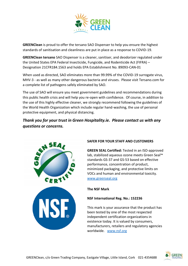

**GREENClean** is proud to offer the tersano SAO Dispenser to help you ensure the highest standards of sanitisation and cleanliness are put in place as a response to COVID-19.

**GREENClean tersano** SAO Dispenser is a cleaner, sanitiser, and deodorizer regulated under the United States EPA Federal Insecticide, Fungicide, and Rodenticide Act (FIFRA) – Designation 21CFR184.1563 and holds EPA Establishment No. 89093-CAN-01

When used as directed, SAO eliminates more than 99.99% of the COVID-19 surrogate virus, MHV-3 - as well as many other dangerous bacteria and viruses. Please visit Tersano.com for a complete list of pathogens safely eliminated by SAO.

The use of SAO will ensure you meet government guidelines and recommendations during this public health crisis and will help you re-open with confidence. Of course, in addition to the use of this highly effective cleaner, we strongly recommend following the guidelines of the World Health Organization which include regular hand-washing, the use of personal protective equipment, and physical distancing.

*Thank you for your trust in Green Hospitality.ie. Please contact us with any questions or concerns.*



#### **SAFER FOR YOUR STAFF AND CUSTOMERS**

**GREEN SEAL Certified:** Tested in an ISO-approved lab, stabilized aqueous ozone meets Green Seal™ standards GS-37 and GS-53 based on effective performance, concentration of product, minimized packaging, and protective limits on VOCs and human and environmental toxicity. [www.greenseal.org](http://www.greenseal.org/)

#### **The NSF Mark**

#### **NSF International Reg. No.: 152236**

This mark is your assurance that the product has been tested by one of the most respected independent certification organizations in existence today. It is valued by consumers, manufacturers, retailers and regulatory agencies worldwide. [www.nsf.org](http://www.nsf.org/)

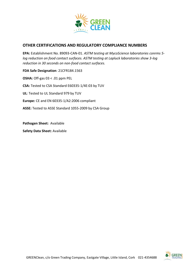

#### **OTHER CERTIFICATIONS AND REGULATORY COMPLIANCE NUMBERS**

**EPA:** Establishment No. 89093-CAN-01. *ASTM testing at MycoScience laboratories conrms 5 log reduction on food contact surfaces. ASTM testing at Lapluck laboratories show 3-log reduction in 30 seconds on non-food contact surfaces.*

**FDA Safe Designation**: 21CFR184.1563 **OSHA:** Off-gas 03 < .01 ppm PEL **CSA:** Tested to CSA Standard E60335-1/4E:03 by TUV **UL**: Tested to UL Standard 979 by TUV **Europe:** CE and EN 60335-1/A2:2006 compliant **ASSE:** Tested to ASSE Standard 1055-2009 by CSA Group

**Pathogen Sheet:** Available

**Safety Data Sheet:** Available